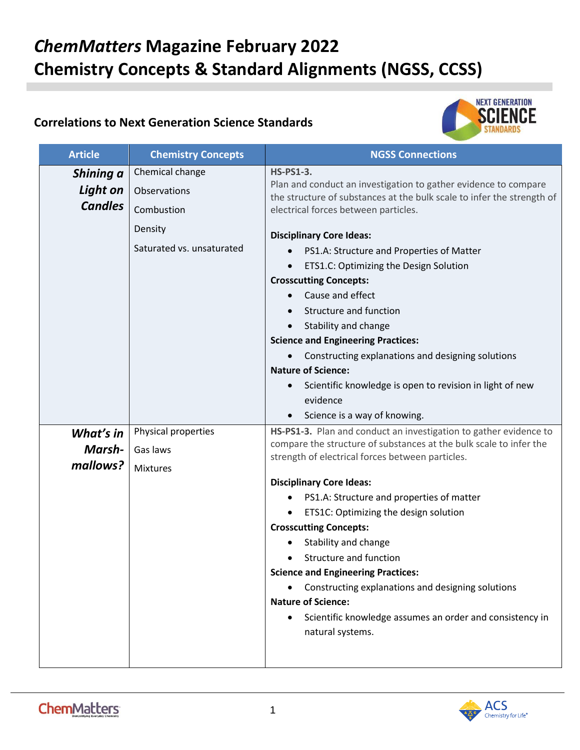## *ChemMatters* **Magazine February 2022 Chemistry Concepts & Standard Alignments (NGSS, CCSS)**

## **Correlations to Next Generation Science Standards**



| <b>Article</b>                          | <b>Chemistry Concepts</b>                                                             | <b>NGSS Connections</b>                                                                                                                                                                                                                                                                                                                                                                                                                                                                                                                                                                                                |
|-----------------------------------------|---------------------------------------------------------------------------------------|------------------------------------------------------------------------------------------------------------------------------------------------------------------------------------------------------------------------------------------------------------------------------------------------------------------------------------------------------------------------------------------------------------------------------------------------------------------------------------------------------------------------------------------------------------------------------------------------------------------------|
| Shining a<br>Light on<br><b>Candles</b> | Chemical change<br>Observations<br>Combustion<br>Density<br>Saturated vs. unsaturated | <b>HS-PS1-3.</b><br>Plan and conduct an investigation to gather evidence to compare<br>the structure of substances at the bulk scale to infer the strength of<br>electrical forces between particles.<br><b>Disciplinary Core Ideas:</b><br>PS1.A: Structure and Properties of Matter<br>ETS1.C: Optimizing the Design Solution<br><b>Crosscutting Concepts:</b><br>Cause and effect<br>Structure and function<br>Stability and change<br>$\bullet$<br><b>Science and Engineering Practices:</b><br>Constructing explanations and designing solutions<br><b>Nature of Science:</b>                                     |
|                                         |                                                                                       | Scientific knowledge is open to revision in light of new<br>evidence<br>Science is a way of knowing.<br>$\bullet$                                                                                                                                                                                                                                                                                                                                                                                                                                                                                                      |
| What's in<br>Marsh-<br>mallows?         | Physical properties<br>Gas laws<br><b>Mixtures</b>                                    | HS-PS1-3. Plan and conduct an investigation to gather evidence to<br>compare the structure of substances at the bulk scale to infer the<br>strength of electrical forces between particles.<br><b>Disciplinary Core Ideas:</b><br>PS1.A: Structure and properties of matter<br>ETS1C: Optimizing the design solution<br><b>Crosscutting Concepts:</b><br>Stability and change<br>Structure and function<br><b>Science and Engineering Practices:</b><br>Constructing explanations and designing solutions<br><b>Nature of Science:</b><br>Scientific knowledge assumes an order and consistency in<br>natural systems. |